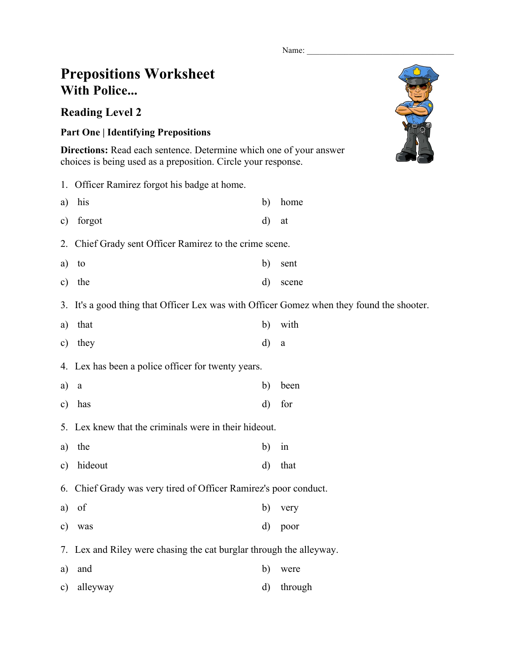Name:

## **Prepositions Worksheet With Police...**

## **Reading Level 2**

## **Part One | Identifying Prepositions**

**Directions:** Read each sentence. Determine which one of your answer choices is being used as a preposition. Circle your response.

|               | 1. Officer Ramirez forgot his badge at home.                                              |              |          |  |  |  |
|---------------|-------------------------------------------------------------------------------------------|--------------|----------|--|--|--|
| a)            | his                                                                                       | b)           | home     |  |  |  |
| $\mathbf{c})$ | forgot                                                                                    | d)           | at       |  |  |  |
|               | 2. Chief Grady sent Officer Ramirez to the crime scene.                                   |              |          |  |  |  |
| a)            | to                                                                                        | $\mathbf{b}$ | sent     |  |  |  |
| $\mathbf{c})$ | the                                                                                       | $\mathbf{d}$ | scene    |  |  |  |
|               | 3. It's a good thing that Officer Lex was with Officer Gomez when they found the shooter. |              |          |  |  |  |
| a)            | that                                                                                      | b)           | with     |  |  |  |
| $\mathbf{c})$ | they                                                                                      | $\mathbf{d}$ | $\rm{a}$ |  |  |  |
|               | 4. Lex has been a police officer for twenty years.                                        |              |          |  |  |  |
| a)            | $\rm{a}$                                                                                  | b)           | been     |  |  |  |
| $\mathbf{c})$ | has                                                                                       | d)           | for      |  |  |  |
|               | 5. Lex knew that the criminals were in their hideout.                                     |              |          |  |  |  |
| a)            | the                                                                                       | b)           | in       |  |  |  |
| $\mathbf{c})$ | hideout                                                                                   | $\mathbf{d}$ | that     |  |  |  |
|               | 6. Chief Grady was very tired of Officer Ramirez's poor conduct.                          |              |          |  |  |  |
| a)            | of                                                                                        | $\mathbf{b}$ | very     |  |  |  |
| $\mathbf{c})$ | was                                                                                       | $\rm d)$     | poor     |  |  |  |
|               | 7. Lex and Riley were chasing the cat burglar through the alleyway.                       |              |          |  |  |  |
| a)            | and                                                                                       | $\mathbf{b}$ | were     |  |  |  |
| $\mathbf{c})$ | alleyway                                                                                  | $\rm d)$     | through  |  |  |  |

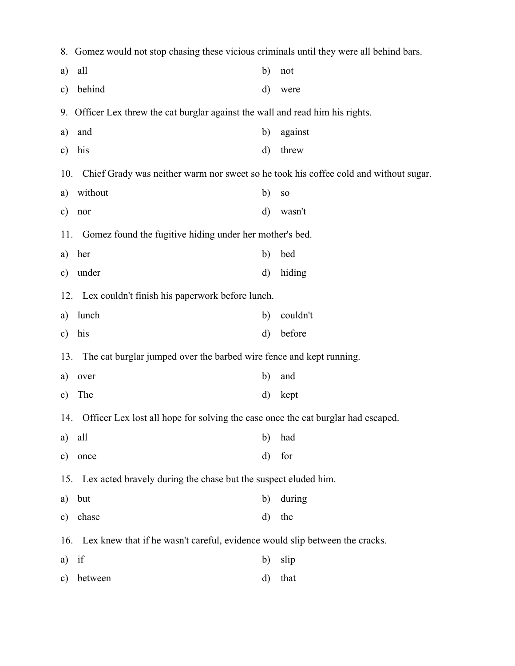|               | 8. Gomez would not stop chasing these vicious criminals until they were all behind bars.    |              |            |  |  |  |  |  |
|---------------|---------------------------------------------------------------------------------------------|--------------|------------|--|--|--|--|--|
| a)            | all                                                                                         | b)           | not        |  |  |  |  |  |
| $\mathbf{c})$ | behind                                                                                      | d)           | were       |  |  |  |  |  |
|               | 9. Officer Lex threw the cat burglar against the wall and read him his rights.              |              |            |  |  |  |  |  |
| a)            | and                                                                                         | b)           | against    |  |  |  |  |  |
| $\mathbf{c})$ | his                                                                                         | d)           | threw      |  |  |  |  |  |
|               | Chief Grady was neither warm nor sweet so he took his coffee cold and without sugar.<br>10. |              |            |  |  |  |  |  |
| a)            | without                                                                                     | b)           | ${\bf SO}$ |  |  |  |  |  |
| c)            | nor                                                                                         | $\mathbf{d}$ | wasn't     |  |  |  |  |  |
|               | Gomez found the fugitive hiding under her mother's bed.<br>11.                              |              |            |  |  |  |  |  |
| a)            | her                                                                                         | b)           | bed        |  |  |  |  |  |
| $\mathbf{c})$ | under                                                                                       | $\mathbf{d}$ | hiding     |  |  |  |  |  |
|               | 12. Lex couldn't finish his paperwork before lunch.                                         |              |            |  |  |  |  |  |
| a)            | lunch                                                                                       | b)           | couldn't   |  |  |  |  |  |
| c)            | his                                                                                         | $\rm d)$     | before     |  |  |  |  |  |
|               | The cat burglar jumped over the barbed wire fence and kept running.<br>13.                  |              |            |  |  |  |  |  |
| a)            | over                                                                                        | b)           | and        |  |  |  |  |  |
| c)            | The                                                                                         | $\mathbf{d}$ | kept       |  |  |  |  |  |
|               | 14. Officer Lex lost all hope for solving the case once the cat burglar had escaped.        |              |            |  |  |  |  |  |
| a)            | all                                                                                         | b)           | had        |  |  |  |  |  |
| $\mathbf{c})$ | once                                                                                        | d)           | for        |  |  |  |  |  |
|               | Lex acted bravely during the chase but the suspect eluded him.<br>15.                       |              |            |  |  |  |  |  |
| a)            | but                                                                                         | b)           | during     |  |  |  |  |  |
| $\mathbf{c})$ | chase                                                                                       | d)           | the        |  |  |  |  |  |
|               | Lex knew that if he wasn't careful, evidence would slip between the cracks.<br>16.          |              |            |  |  |  |  |  |
| a)            | if                                                                                          | b)           | slip       |  |  |  |  |  |
| $\mathbf{c})$ | between                                                                                     | d)           | that       |  |  |  |  |  |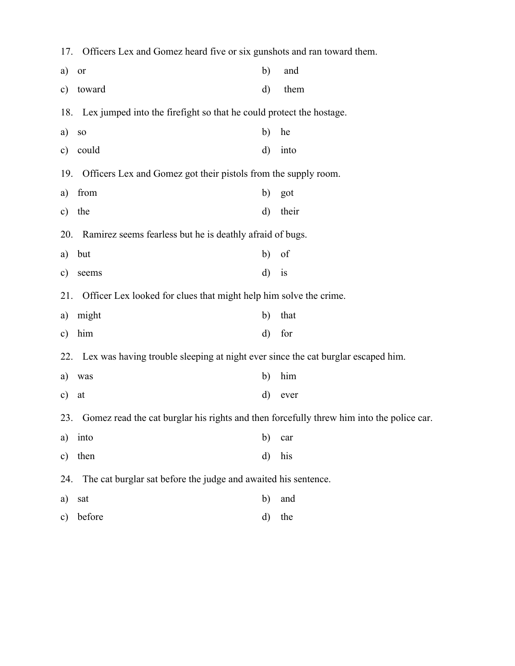| 17.           | Officers Lex and Gomez heard five or six gunshots and ran toward them.                   |              |       |  |  |
|---------------|------------------------------------------------------------------------------------------|--------------|-------|--|--|
| a)            | or                                                                                       | b)           | and   |  |  |
| $\mathbf{c})$ | toward                                                                                   | d)           | them  |  |  |
| 18.           | Lex jumped into the firefight so that he could protect the hostage.                      |              |       |  |  |
| a)            | ${\bf SO}$                                                                               | b)           | he    |  |  |
| $\mathbf{c})$ | could                                                                                    | $\mathbf{d}$ | into  |  |  |
| 19.           | Officers Lex and Gomez got their pistols from the supply room.                           |              |       |  |  |
| a)            | from                                                                                     | b)           | got   |  |  |
| $\mathbf{c})$ | the                                                                                      | $\rm d)$     | their |  |  |
| 20.           | Ramirez seems fearless but he is deathly afraid of bugs.                                 |              |       |  |  |
| a)            | but                                                                                      | b)           | of    |  |  |
| c)            | seems                                                                                    | $\mathbf{d}$ | is    |  |  |
| 21.           | Officer Lex looked for clues that might help him solve the crime.                        |              |       |  |  |
| a)            | might                                                                                    | b)           | that  |  |  |
| $\mathbf{c})$ | him                                                                                      | $\mathbf{d}$ | for   |  |  |
|               | 22. Lex was having trouble sleeping at night ever since the cat burglar escaped him.     |              |       |  |  |
| a)            | was                                                                                      | b)           | him   |  |  |
| $\mathbf{c})$ | at                                                                                       | $\rm d)$     | ever  |  |  |
| 23.           | Gomez read the cat burglar his rights and then forcefully threw him into the police car. |              |       |  |  |
| a)            | into                                                                                     | $\mathbf{b}$ | car   |  |  |
| $\mathbf{c})$ | then                                                                                     | $\rm d)$     | his   |  |  |
| 24.           | The cat burglar sat before the judge and awaited his sentence.                           |              |       |  |  |
| a)            | sat                                                                                      | $\mathbf{b}$ | and   |  |  |
| $\mathbf{c})$ | before                                                                                   | $\rm d)$     | the   |  |  |
|               |                                                                                          |              |       |  |  |